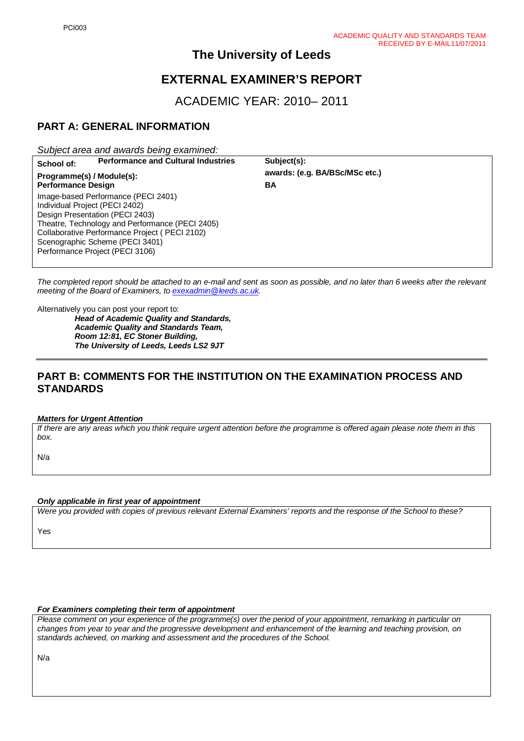# **The University of Leeds**

# **EXTERNAL EXAMINER'S REPORT**

ACADEMIC YEAR: 2010– 2011

# **PART A: GENERAL INFORMATION**

*Subject area and awards being examined:*

| School of:                                                                                                                                                                                                                                                                         | <b>Performance and Cultural Industries</b> | Subject(s):                    |  |
|------------------------------------------------------------------------------------------------------------------------------------------------------------------------------------------------------------------------------------------------------------------------------------|--------------------------------------------|--------------------------------|--|
| Programme(s) / Module(s):<br><b>Performance Design</b>                                                                                                                                                                                                                             |                                            | awards: (e.g. BA/BSc/MSc etc.) |  |
|                                                                                                                                                                                                                                                                                    |                                            | BA                             |  |
| Image-based Performance (PECI 2401)<br>Individual Project (PECI 2402)<br>Design Presentation (PECI 2403)<br>Theatre, Technology and Performance (PECI 2405)<br>Collaborative Performance Project (PECI 2102)<br>Scenographic Scheme (PECI 3401)<br>Performance Project (PECI 3106) |                                            |                                |  |

*The completed report should be attached to an e-mail and sent as soon as possible, and no later than 6 weeks after the relevant meeting of the Board of Examiners, to [exexadmin@leeds.ac.uk.](mailto:exexadmin@leeds.ac.uk)* 

Alternatively you can post your report to:

*Head of Academic Quality and Standards, Academic Quality and Standards Team, Room 12:81, EC Stoner Building, The University of Leeds, Leeds LS2 9JT*

## **PART B: COMMENTS FOR THE INSTITUTION ON THE EXAMINATION PROCESS AND STANDARDS**

#### *Matters for Urgent Attention*

*If there are any areas which you think require urgent attention before the programme is offered again please note them in this box.*

N/a

#### *Only applicable in first year of appointment*

*Were you provided with copies of previous relevant External Examiners' reports and the response of the School to these?* 

Yes

#### *For Examiners completing their term of appointment*

*Please comment on your experience of the programme(s) over the period of your appointment, remarking in particular on changes from year to year and the progressive development and enhancement of the learning and teaching provision, on standards achieved, on marking and assessment and the procedures of the School.* 

N/a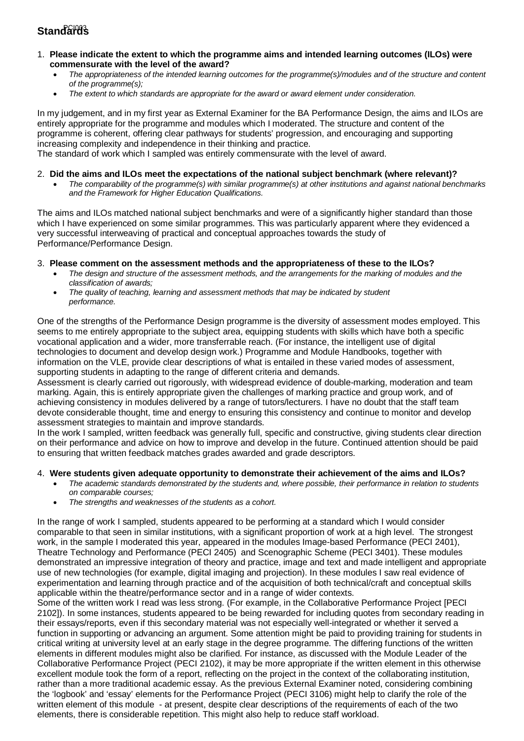# Standar<del>0</del>s

- 1. **Please indicate the extent to which the programme aims and intended learning outcomes (ILOs) were commensurate with the level of the award?**
	- *The appropriateness of the intended learning outcomes for the programme(s)/modules and of the structure and content of the programme(s);*
	- *The extent to which standards are appropriate for the award or award element under consideration.*

In my judgement, and in my first year as External Examiner for the BA Performance Design, the aims and ILOs are entirely appropriate for the programme and modules which I moderated. The structure and content of the programme is coherent, offering clear pathways for students' progression, and encouraging and supporting increasing complexity and independence in their thinking and practice.

The standard of work which I sampled was entirely commensurate with the level of award.

#### 2. **Did the aims and ILOs meet the expectations of the national subject benchmark (where relevant)?**

• *The comparability of the programme(s) with similar programme(s) at other institutions and against national benchmarks and the Framework for Higher Education Qualifications.*

The aims and ILOs matched national subject benchmarks and were of a significantly higher standard than those which I have experienced on some similar programmes. This was particularly apparent where they evidenced a very successful interweaving of practical and conceptual approaches towards the study of Performance/Performance Design.

3. **Please comment on the assessment methods and the appropriateness of these to the ILOs?**

- *The design and structure of the assessment methods, and the arrangements for the marking of modules and the classification of awards;*
- *The quality of teaching, learning and assessment methods that may be indicated by student performance.*

One of the strengths of the Performance Design programme is the diversity of assessment modes employed. This seems to me entirely appropriate to the subject area, equipping students with skills which have both a specific vocational application and a wider, more transferrable reach. (For instance, the intelligent use of digital technologies to document and develop design work.) Programme and Module Handbooks, together with information on the VLE, provide clear descriptions of what is entailed in these varied modes of assessment, supporting students in adapting to the range of different criteria and demands.

Assessment is clearly carried out rigorously, with widespread evidence of double-marking, moderation and team marking. Again, this is entirely appropriate given the challenges of marking practice and group work, and of achieving consistency in modules delivered by a range of tutors/lecturers. I have no doubt that the staff team devote considerable thought, time and energy to ensuring this consistency and continue to monitor and develop assessment strategies to maintain and improve standards.

In the work I sampled, written feedback was generally full, specific and constructive, giving students clear direction on their performance and advice on how to improve and develop in the future. Continued attention should be paid to ensuring that written feedback matches grades awarded and grade descriptors.

#### 4. **Were students given adequate opportunity to demonstrate their achievement of the aims and ILOs?**

- *The academic standards demonstrated by the students and, where possible, their performance in relation to students on comparable courses;*
- *The strengths and weaknesses of the students as a cohort.*

In the range of work I sampled, students appeared to be performing at a standard which I would consider comparable to that seen in similar institutions, with a significant proportion of work at a high level. The strongest work, in the sample I moderated this year, appeared in the modules Image-based Performance (PECI 2401), Theatre Technology and Performance (PECI 2405) and Scenographic Scheme (PECI 3401). These modules demonstrated an impressive integration of theory and practice, image and text and made intelligent and appropriate use of new technologies (for example, digital imaging and projection). In these modules I saw real evidence of experimentation and learning through practice and of the acquisition of both technical/craft and conceptual skills applicable within the theatre/performance sector and in a range of wider contexts.

Some of the written work I read was less strong. (For example, in the Collaborative Performance Project [PECI 2102]). In some instances, students appeared to be being rewarded for including quotes from secondary reading in their essays/reports, even if this secondary material was not especially well-integrated or whether it served a function in supporting or advancing an argument. Some attention might be paid to providing training for students in critical writing at university level at an early stage in the degree programme. The differing functions of the written elements in different modules might also be clarified. For instance, as discussed with the Module Leader of the Collaborative Performance Project (PECI 2102), it may be more appropriate if the written element in this otherwise excellent module took the form of a report, reflecting on the project in the context of the collaborating institution, rather than a more traditional academic essay. As the previous External Examiner noted, considering combining the 'logbook' and 'essay' elements for the Performance Project (PECI 3106) might help to clarify the role of the written element of this module - at present, despite clear descriptions of the requirements of each of the two elements, there is considerable repetition. This might also help to reduce staff workload.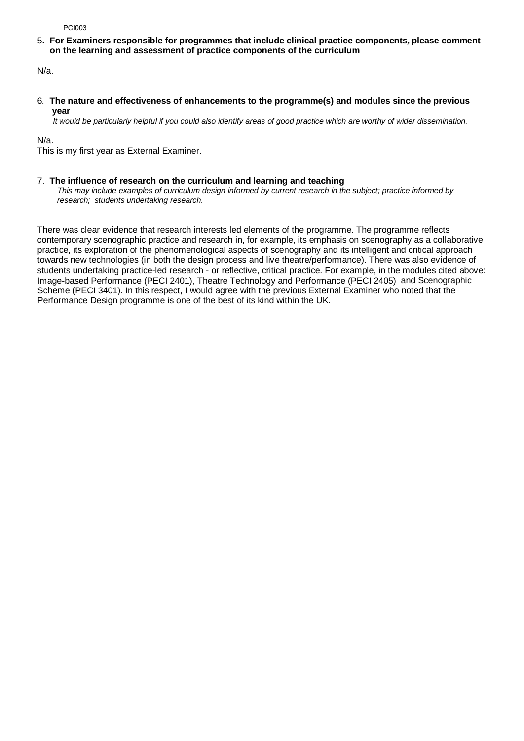PCI003

5**. For Examiners responsible for programmes that include clinical practice components, please comment on the learning and assessment of practice components of the curriculum**

N/a.

6*.* **The nature and effectiveness of enhancements to the programme(s) and modules since the previous year** 

 *It would be particularly helpful if you could also identify areas of good practice which are worthy of wider dissemination.* 

N/a.

This is my first year as External Examiner.

#### 7.**The influence of research on the curriculum and learning and teaching**

 *This may include examples of curriculum design informed by current research in the subject; practice informed by research; students undertaking research.* 

There was clear evidence that research interests led elements of the programme. The programme reflects contemporary scenographic practice and research in, for example, its emphasis on scenography as a collaborative practice, its exploration of the phenomenological aspects of scenography and its intelligent and critical approach towards new technologies (in both the design process and live theatre/performance). There was also evidence of students undertaking practice-led research - or reflective, critical practice. For example, in the modules cited above: Image-based Performance (PECI 2401), Theatre Technology and Performance (PECI 2405) and Scenographic Scheme (PECI 3401). In this respect, I would agree with the previous External Examiner who noted that the Performance Design programme is one of the best of its kind within the UK.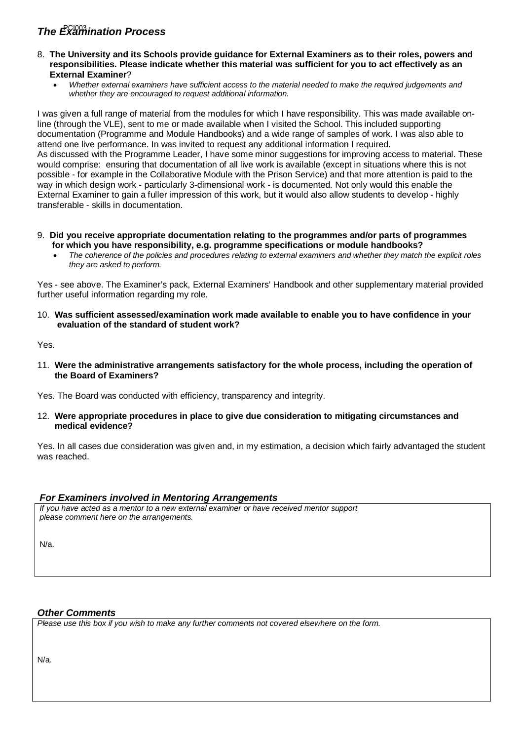# **The Examination Process**

- 8. **The University and its Schools provide guidance for External Examiners as to their roles, powers and responsibilities. Please indicate whether this material was sufficient for you to act effectively as an External Examiner**?
	- *Whether external examiners have sufficient access to the material needed to make the required judgements and whether they are encouraged to request additional information.*

I was given a full range of material from the modules for which I have responsibility. This was made available online (through the VLE), sent to me or made available when I visited the School. This included supporting documentation (Programme and Module Handbooks) and a wide range of samples of work. I was also able to attend one live performance. In was invited to request any additional information I required. As discussed with the Programme Leader, I have some minor suggestions for improving access to material. These would comprise: ensuring that documentation of all live work is available (except in situations where this is not possible - for example in the Collaborative Module with the Prison Service) and that more attention is paid to the way in which design work - particularly 3-dimensional work - is documented. Not only would this enable the External Examiner to gain a fuller impression of this work, but it would also allow students to develop - highly transferable - skills in documentation.

- 9. **Did you receive appropriate documentation relating to the programmes and/or parts of programmes for which you have responsibility, e.g. programme specifications or module handbooks?**
	- *The coherence of the policies and procedures relating to external examiners and whether they match the explicit roles they are asked to perform.*

Yes - see above. The Examiner's pack, External Examiners' Handbook and other supplementary material provided further useful information regarding my role.

10. **Was sufficient assessed/examination work made available to enable you to have confidence in your evaluation of the standard of student work?**

Yes.

11. **Were the administrative arrangements satisfactory for the whole process, including the operation of the Board of Examiners?**

Yes. The Board was conducted with efficiency, transparency and integrity.

12. **Were appropriate procedures in place to give due consideration to mitigating circumstances and medical evidence?**

Yes. In all cases due consideration was given and, in my estimation, a decision which fairly advantaged the student was reached.

### *For Examiners involved in Mentoring Arrangements*

*If you have acted as a mentor to a new external examiner or have received mentor support please comment here on the arrangements.*

N/a.

## *Other Comments*

*Please use this box if you wish to make any further comments not covered elsewhere on the form.*

N/a.